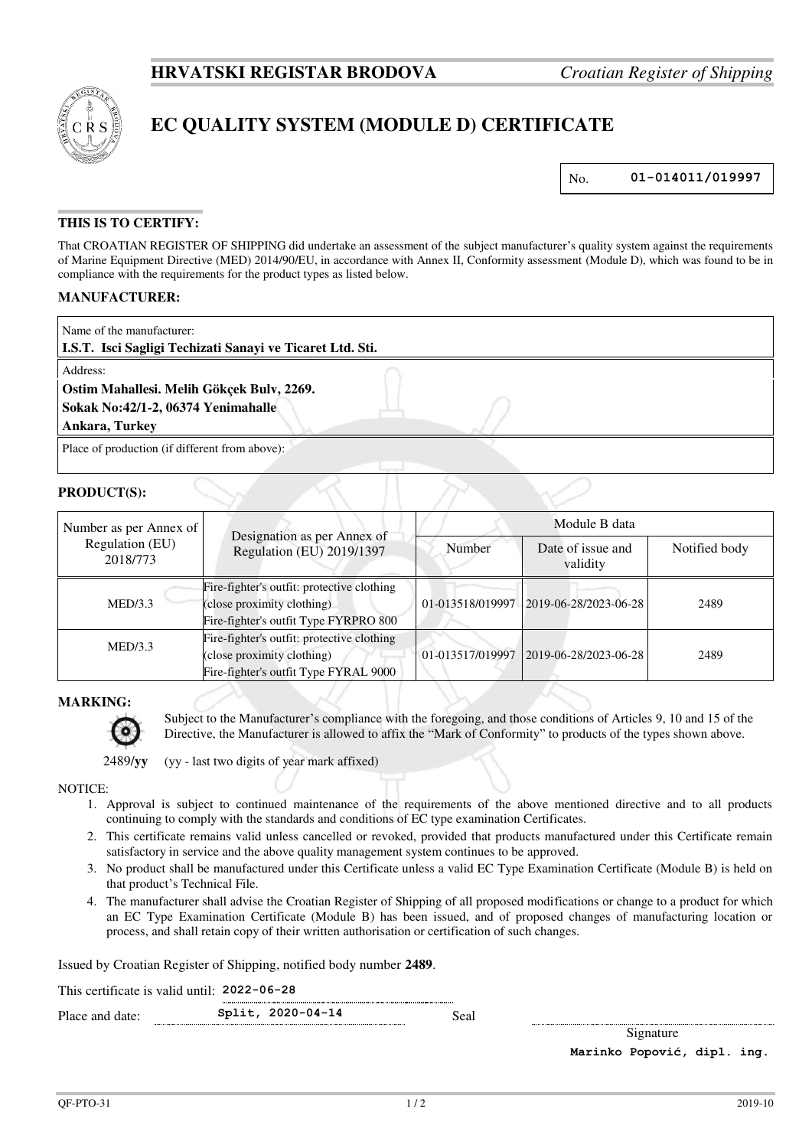

# **EC QUALITY SYSTEM (MODULE D) CERTIFICATE**

No. **01-014011/019997**

## **THIS IS TO CERTIFY:**

That CROATIAN REGISTER OF SHIPPING did undertake an assessment of the subject manufacturer's quality system against the requirements of Marine Equipment Directive (MED) 2014/90/EU, in accordance with Annex II, Conformity assessment (Module D), which was found to be in compliance with the requirements for the product types as listed below.

### **MANUFACTURER:**

| Name of the manufacturer:<br>L.S.T. Isci Sagligi Techizati Sanayi ve Ticaret Ltd. Sti. |  |  |  |
|----------------------------------------------------------------------------------------|--|--|--|
| Address:                                                                               |  |  |  |
| Ostim Mahallesi. Melih Gökçek Bulv, 2269.                                              |  |  |  |
| Sokak No: 42/1-2, 06374 Yenimahalle                                                    |  |  |  |
| Ankara, Turkey                                                                         |  |  |  |
| Place of production (if different from above):                                         |  |  |  |

#### **PRODUCT(S):**

| Number as per Annex of<br>Regulation (EU)<br>2018/773 | Designation as per Annex of<br>Regulation (EU) 2019/1397                                                          | Module B data    |                               |               |
|-------------------------------------------------------|-------------------------------------------------------------------------------------------------------------------|------------------|-------------------------------|---------------|
|                                                       |                                                                                                                   | Number           | Date of issue and<br>validity | Notified body |
| MED/3.3                                               | Fire-fighter's outfit: protective clothing<br>(close proximity clothing)<br>Fire-fighter's outfit Type FYRPRO 800 | 01-013518/019997 | 2019-06-28/2023-06-28         | 2489          |
| MED/3.3                                               | Fire-fighter's outfit: protective clothing<br>(close proximity clothing)<br>Fire-fighter's outfit Type FYRAL 9000 | 01-013517/019997 | 2019-06-28/2023-06-28         | 2489          |

#### **MARKING:**



Subject to the Manufacturer's compliance with the foregoing, and those conditions of Articles 9, 10 and 15 of the Directive, the Manufacturer is allowed to affix the "Mark of Conformity" to products of the types shown above.

2489/**yy** (yy - last two digits of year mark affixed)

#### NOTICE:

- 1. Approval is subject to continued maintenance of the requirements of the above mentioned directive and to all products continuing to comply with the standards and conditions of EC type examination Certificates.
- 2. This certificate remains valid unless cancelled or revoked, provided that products manufactured under this Certificate remain satisfactory in service and the above quality management system continues to be approved.
- 3. No product shall be manufactured under this Certificate unless a valid EC Type Examination Certificate (Module B) is held on that product's Technical File.
- 4. The manufacturer shall advise the Croatian Register of Shipping of all proposed modifications or change to a product for which an EC Type Examination Certificate (Module B) has been issued, and of proposed changes of manufacturing location or process, and shall retain copy of their written authorisation or certification of such changes.

Issued by Croatian Register of Shipping, notified body number **2489**.

This certificate is valid until: **2022-06-28**  Place and date: **Split, 2020-04-14** Seal

Signature

**Marinko Popović, dipl. ing.**